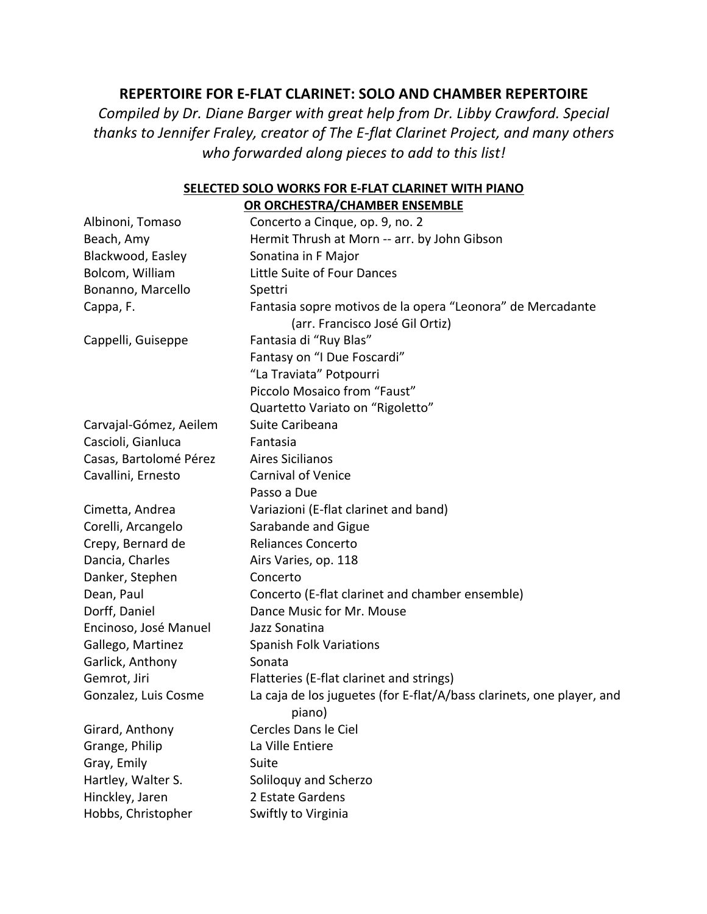## **REPERTOIRE FOR E-FLAT CLARINET: SOLO AND CHAMBER REPERTOIRE**

*Compiled by Dr. Diane Barger with great help from Dr. Libby Crawford. Special thanks to Jennifer Fraley, creator of The E-flat Clarinet Project, and many others who forwarded along pieces to add to this list!*

#### **SELECTED SOLO WORKS FOR E-FLAT CLARINET WITH PIANO OR ORCHESTRA/CHAMBER ENSEMBLE**

| Albinoni, Tomaso       | Concerto a Cinque, op. 9, no. 2                                                               |
|------------------------|-----------------------------------------------------------------------------------------------|
| Beach, Amy             | Hermit Thrush at Morn -- arr. by John Gibson                                                  |
| Blackwood, Easley      | Sonatina in F Major                                                                           |
| Bolcom, William        | Little Suite of Four Dances                                                                   |
| Bonanno, Marcello      | Spettri                                                                                       |
| Cappa, F.              | Fantasia sopre motivos de la opera "Leonora" de Mercadante<br>(arr. Francisco José Gil Ortiz) |
| Cappelli, Guiseppe     | Fantasia di "Ruy Blas"                                                                        |
|                        | Fantasy on "I Due Foscardi"                                                                   |
|                        | "La Traviata" Potpourri                                                                       |
|                        | Piccolo Mosaico from "Faust"                                                                  |
|                        | Quartetto Variato on "Rigoletto"                                                              |
| Carvajal-Gómez, Aeilem | Suite Caribeana                                                                               |
| Cascioli, Gianluca     | Fantasia                                                                                      |
| Casas, Bartolomé Pérez | <b>Aires Sicilianos</b>                                                                       |
| Cavallini, Ernesto     | <b>Carnival of Venice</b>                                                                     |
|                        | Passo a Due                                                                                   |
| Cimetta, Andrea        | Variazioni (E-flat clarinet and band)                                                         |
| Corelli, Arcangelo     | Sarabande and Gigue                                                                           |
| Crepy, Bernard de      | <b>Reliances Concerto</b>                                                                     |
| Dancia, Charles        | Airs Varies, op. 118                                                                          |
| Danker, Stephen        | Concerto                                                                                      |
| Dean, Paul             | Concerto (E-flat clarinet and chamber ensemble)                                               |
| Dorff, Daniel          | Dance Music for Mr. Mouse                                                                     |
| Encinoso, José Manuel  | Jazz Sonatina                                                                                 |
| Gallego, Martinez      | <b>Spanish Folk Variations</b>                                                                |
| Garlick, Anthony       | Sonata                                                                                        |
| Gemrot, Jiri           | Flatteries (E-flat clarinet and strings)                                                      |
| Gonzalez, Luis Cosme   | La caja de los juguetes (for E-flat/A/bass clarinets, one player, and<br>piano)               |
| Girard, Anthony        | Cercles Dans le Ciel                                                                          |
| Grange, Philip         | La Ville Entiere                                                                              |
| Gray, Emily            | Suite                                                                                         |
| Hartley, Walter S.     | Soliloquy and Scherzo                                                                         |
| Hinckley, Jaren        | 2 Estate Gardens                                                                              |
| Hobbs, Christopher     | Swiftly to Virginia                                                                           |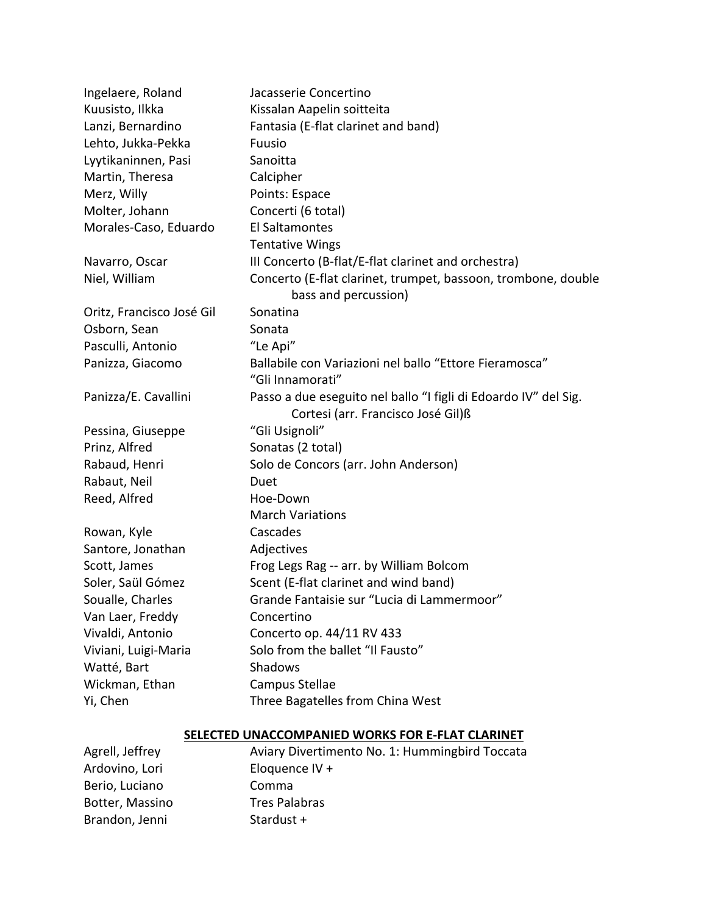| Ingelaere, Roland         | Jacasserie Concertino                                           |
|---------------------------|-----------------------------------------------------------------|
| Kuusisto, Ilkka           | Kissalan Aapelin soitteita                                      |
| Lanzi, Bernardino         | Fantasia (E-flat clarinet and band)                             |
| Lehto, Jukka-Pekka        | Fuusio                                                          |
| Lyytikaninnen, Pasi       | Sanoitta                                                        |
| Martin, Theresa           | Calcipher                                                       |
| Merz, Willy               | Points: Espace                                                  |
| Molter, Johann            | Concerti (6 total)                                              |
| Morales-Caso, Eduardo     | El Saltamontes                                                  |
|                           | <b>Tentative Wings</b>                                          |
| Navarro, Oscar            | III Concerto (B-flat/E-flat clarinet and orchestra)             |
| Niel, William             | Concerto (E-flat clarinet, trumpet, bassoon, trombone, double   |
|                           | bass and percussion)                                            |
| Oritz, Francisco José Gil | Sonatina                                                        |
| Osborn, Sean              | Sonata                                                          |
| Pasculli, Antonio         | "Le Api"                                                        |
| Panizza, Giacomo          | Ballabile con Variazioni nel ballo "Ettore Fieramosca"          |
|                           | "Gli Innamorati"                                                |
| Panizza/E. Cavallini      | Passo a due eseguito nel ballo "I figli di Edoardo IV" del Sig. |
|                           | Cortesi (arr. Francisco José Gil)ß                              |
| Pessina, Giuseppe         | "Gli Usignoli"                                                  |
| Prinz, Alfred             | Sonatas (2 total)                                               |
| Rabaud, Henri             | Solo de Concors (arr. John Anderson)                            |
| Rabaut, Neil              | Duet                                                            |
| Reed, Alfred              | Hoe-Down                                                        |
|                           | <b>March Variations</b>                                         |
| Rowan, Kyle               | Cascades                                                        |
| Santore, Jonathan         | Adjectives                                                      |
| Scott, James              | Frog Legs Rag -- arr. by William Bolcom                         |
| Soler, Saül Gómez         | Scent (E-flat clarinet and wind band)                           |
| Soualle, Charles          | Grande Fantaisie sur "Lucia di Lammermoor"                      |
| Van Laer, Freddy          | Concertino                                                      |
| Vivaldi, Antonio          | Concerto op. 44/11 RV 433                                       |
| Viviani, Luigi-Maria      | Solo from the ballet "Il Fausto"                                |
| Watté, Bart               | Shadows                                                         |
| Wickman, Ethan            | Campus Stellae                                                  |
| Yi, Chen                  | Three Bagatelles from China West                                |
|                           |                                                                 |

# **SELECTED UNACCOMPANIED WORKS FOR E-FLAT CLARINET**

| Agrell, Jeffrey | Aviary Divertimento No. 1: Hummingbird Toccata |
|-----------------|------------------------------------------------|
| Ardovino, Lori  | Eloquence IV +                                 |
| Berio, Luciano  | Comma                                          |
| Botter, Massino | <b>Tres Palabras</b>                           |
| Brandon, Jenni  | Stardust +                                     |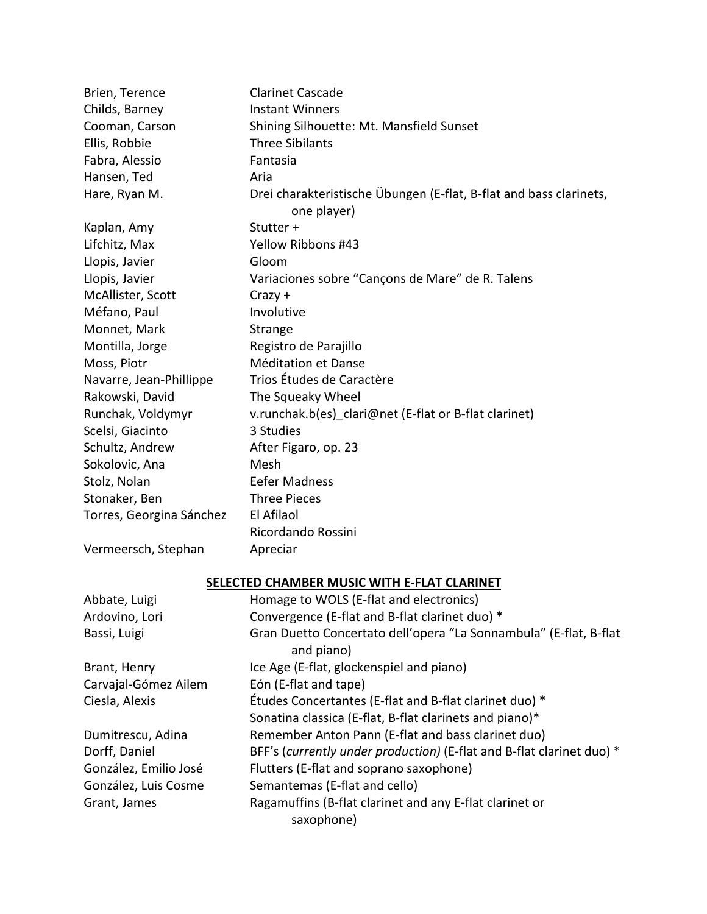| Brien, Terence           | <b>Clarinet Cascade</b>                                                           |
|--------------------------|-----------------------------------------------------------------------------------|
| Childs, Barney           | <b>Instant Winners</b>                                                            |
| Cooman, Carson           | Shining Silhouette: Mt. Mansfield Sunset                                          |
| Ellis, Robbie            | <b>Three Sibilants</b>                                                            |
| Fabra, Alessio           | Fantasia                                                                          |
| Hansen, Ted              | Aria                                                                              |
| Hare, Ryan M.            | Drei charakteristische Übungen (E-flat, B-flat and bass clarinets,<br>one player) |
| Kaplan, Amy              | Stutter +                                                                         |
| Lifchitz, Max            | Yellow Ribbons #43                                                                |
| Llopis, Javier           | Gloom                                                                             |
| Llopis, Javier           | Variaciones sobre "Cançons de Mare" de R. Talens                                  |
| McAllister, Scott        | $Crazy +$                                                                         |
| Méfano, Paul             | Involutive                                                                        |
| Monnet, Mark             | Strange                                                                           |
| Montilla, Jorge          | Registro de Parajillo                                                             |
| Moss, Piotr              | Méditation et Danse                                                               |
| Navarre, Jean-Phillippe  | Trios Études de Caractère                                                         |
| Rakowski, David          | The Squeaky Wheel                                                                 |
| Runchak, Voldymyr        | v.runchak.b(es) clari@net (E-flat or B-flat clarinet)                             |
| Scelsi, Giacinto         | 3 Studies                                                                         |
| Schultz, Andrew          | After Figaro, op. 23                                                              |
| Sokolovic, Ana           | Mesh                                                                              |
| Stolz, Nolan             | <b>Eefer Madness</b>                                                              |
| Stonaker, Ben            | <b>Three Pieces</b>                                                               |
| Torres, Georgina Sánchez | El Afilaol                                                                        |
|                          | Ricordando Rossini                                                                |
| Vermeersch, Stephan      | Apreciar                                                                          |

# **SELECTED CHAMBER MUSIC WITH E-FLAT CLARINET**

| Abbate, Luigi         | Homage to WOLS (E-flat and electronics)                                         |
|-----------------------|---------------------------------------------------------------------------------|
| Ardovino, Lori        | Convergence (E-flat and B-flat clarinet duo) *                                  |
| Bassi, Luigi          | Gran Duetto Concertato dell'opera "La Sonnambula" (E-flat, B-flat<br>and piano) |
| Brant, Henry          | Ice Age (E-flat, glockenspiel and piano)                                        |
| Carvajal-Gómez Ailem  | Eón (E-flat and tape)                                                           |
| Ciesla, Alexis        | Études Concertantes (E-flat and B-flat clarinet duo) *                          |
|                       | Sonatina classica (E-flat, B-flat clarinets and piano)*                         |
| Dumitrescu, Adina     | Remember Anton Pann (E-flat and bass clarinet duo)                              |
| Dorff, Daniel         | BFF's (currently under production) (E-flat and B-flat clarinet duo) *           |
| González, Emilio José | Flutters (E-flat and soprano saxophone)                                         |
| González, Luis Cosme  | Semantemas (E-flat and cello)                                                   |
| Grant, James          | Ragamuffins (B-flat clarinet and any E-flat clarinet or                         |
|                       | saxophone)                                                                      |